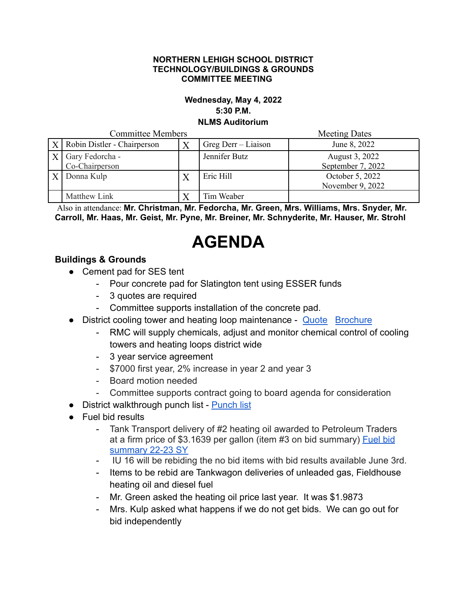#### **NORTHERN LEHIGH SCHOOL DISTRICT TECHNOLOGY/BUILDINGS & GROUNDS COMMITTEE MEETING**

### **Wednesday, May 4, 2022 5:30 P.M. NLMS Auditorium**

Committee Members Meeting Dates

| COMMINICE MEMORIS |                                       |   |                     | Meeting Dates                       |
|-------------------|---------------------------------------|---|---------------------|-------------------------------------|
|                   | $X$ Robin Distler - Chairperson       |   | Greg Derr – Liaison | June 8, 2022                        |
|                   | $X$ Gary Fedorcha -<br>Co-Chairperson |   | Jennifer Butz       | August 3, 2022<br>September 7, 2022 |
|                   | $X$ Donna Kulp                        | Λ | Eric Hill           | October 5, 2022<br>November 9, 2022 |
|                   | Matthew Link                          |   | Tim Weaber          |                                     |

Also in attendance: **Mr. Christman, Mr. Fedorcha, Mr. Green, Mrs. Williams, Mrs. Snyder, Mr. Carroll, Mr. Haas, Mr. Geist, Mr. Pyne, Mr. Breiner, Mr. Schnyderite, Mr. Hauser, Mr. Strohl**

# **AGENDA**

## **Buildings & Grounds**

- Cement pad for SES tent
	- Pour concrete pad for Slatington tent using ESSER funds
	- 3 quotes are required
	- Committee supports installation of the concrete pad.
- District cooling tower and heating loop maintenance [Quote](https://drive.google.com/file/d/1R-HRcblxrdqY-PhXo-tVK3v6ghsj3pTX/view?usp=sharing) [Brochure](https://drive.google.com/file/d/11vFc5Ru2sG4q_LEJATJIDYd2K25_FDok/view?usp=sharing)
	- RMC will supply chemicals, adjust and monitor chemical control of cooling towers and heating loops district wide
	- 3 year service agreement
	- \$7000 first year, 2% increase in year 2 and year 3
	- Board motion needed
	- Committee supports contract going to board agenda for consideration
- District walkthrough punch list [Punch list](https://docs.google.com/document/d/18mc0bGTgPYa1CjrSULNyftFnjsmhmb3w/edit?usp=sharing&ouid=102609620345304660753&rtpof=true&sd=true)
- Fuel bid results
	- Tank Transport delivery of #2 heating oil awarded to Petroleum Traders at a firm price of \$3.1639 per gallon (item #3 on bid summary) [Fuel bid](https://drive.google.com/file/d/1JF9fYwpGJhhVcHFynsLp9gTPpOKyuW1H/view?usp=sharing) [summary 22-23 SY](https://drive.google.com/file/d/1JF9fYwpGJhhVcHFynsLp9gTPpOKyuW1H/view?usp=sharing)
	- IU 16 will be rebiding the no bid items with bid results available June 3rd.
	- Items to be rebid are Tankwagon deliveries of unleaded gas, Fieldhouse heating oil and diesel fuel
	- Mr. Green asked the heating oil price last year. It was \$1.9873
	- Mrs. Kulp asked what happens if we do not get bids. We can go out for bid independently